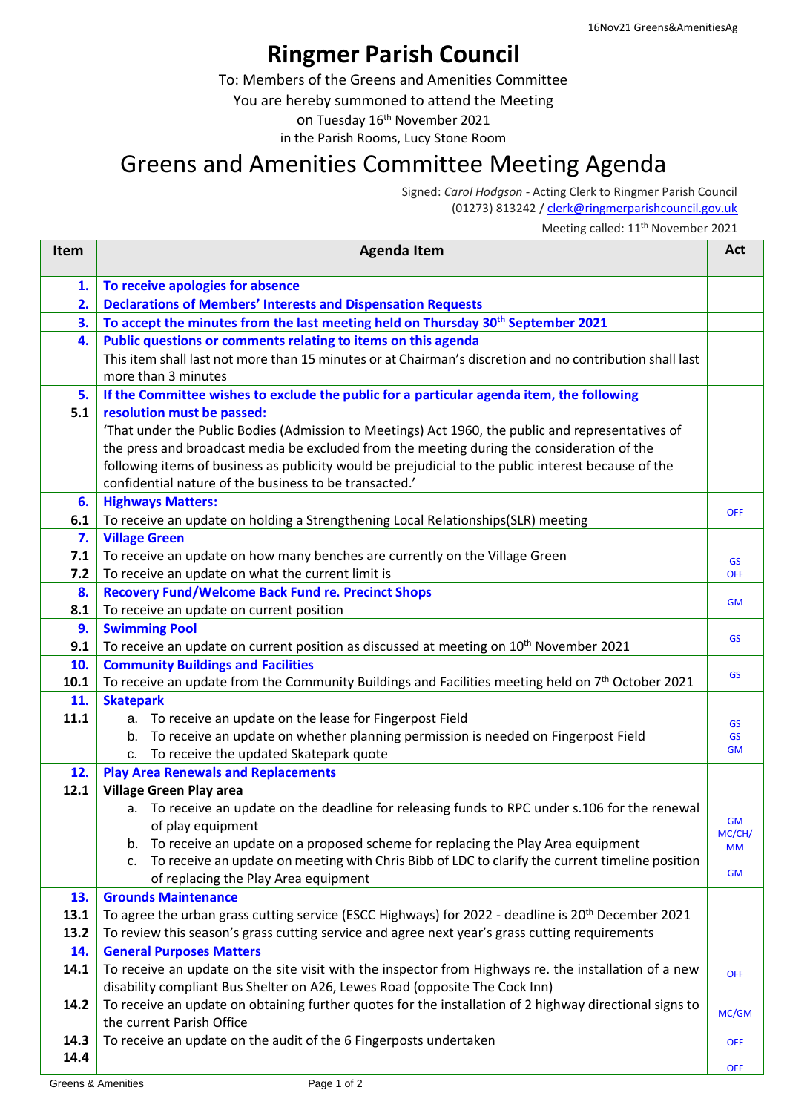## **Ringmer Parish Council**

To: Members of the Greens and Amenities Committee

You are hereby summoned to attend the Meeting

on Tuesday 16<sup>th</sup> November 2021

in the Parish Rooms, Lucy Stone Room

## Greens and Amenities Committee Meeting Agenda

Signed: *Carol Hodgson -* Acting Clerk to Ringmer Parish Council (01273) 813242 / [clerk@ringmerparishcouncil.gov.uk](mailto:clerk@ringmerparishcouncil.gov.uk)

## Meeting called: 11<sup>th</sup> November 2021

| <b>Item</b> | <b>Agenda Item</b>                                                                                                                | Act                 |
|-------------|-----------------------------------------------------------------------------------------------------------------------------------|---------------------|
| 1.          | To receive apologies for absence                                                                                                  |                     |
| 2.          | <b>Declarations of Members' Interests and Dispensation Requests</b>                                                               |                     |
| 3.          | To accept the minutes from the last meeting held on Thursday 30th September 2021                                                  |                     |
| 4.          | Public questions or comments relating to items on this agenda                                                                     |                     |
|             | This item shall last not more than 15 minutes or at Chairman's discretion and no contribution shall last                          |                     |
|             | more than 3 minutes                                                                                                               |                     |
| 5.          | If the Committee wishes to exclude the public for a particular agenda item, the following                                         |                     |
| 5.1         | resolution must be passed:                                                                                                        |                     |
|             | 'That under the Public Bodies (Admission to Meetings) Act 1960, the public and representatives of                                 |                     |
|             | the press and broadcast media be excluded from the meeting during the consideration of the                                        |                     |
|             | following items of business as publicity would be prejudicial to the public interest because of the                               |                     |
|             | confidential nature of the business to be transacted.'                                                                            |                     |
| 6.          | <b>Highways Matters:</b>                                                                                                          | <b>OFF</b>          |
| 6.1         | To receive an update on holding a Strengthening Local Relationships(SLR) meeting                                                  |                     |
| 7.          | <b>Village Green</b>                                                                                                              |                     |
| 7.1<br>7.2  | To receive an update on how many benches are currently on the Village Green                                                       | <b>GS</b>           |
|             | To receive an update on what the current limit is                                                                                 | <b>OFF</b>          |
| 8.<br>8.1   | <b>Recovery Fund/Welcome Back Fund re. Precinct Shops</b><br>To receive an update on current position                             | <b>GM</b>           |
| 9.          | <b>Swimming Pool</b>                                                                                                              |                     |
| 9.1         | To receive an update on current position as discussed at meeting on 10 <sup>th</sup> November 2021                                | <b>GS</b>           |
| 10.         | <b>Community Buildings and Facilities</b>                                                                                         |                     |
| 10.1        | To receive an update from the Community Buildings and Facilities meeting held on 7th October 2021                                 | <b>GS</b>           |
| 11.         | <b>Skatepark</b>                                                                                                                  |                     |
| 11.1        | a. To receive an update on the lease for Fingerpost Field                                                                         | <b>GS</b>           |
|             | b. To receive an update on whether planning permission is needed on Fingerpost Field                                              | <b>GS</b>           |
|             | c. To receive the updated Skatepark quote                                                                                         | <b>GM</b>           |
| 12.         | <b>Play Area Renewals and Replacements</b>                                                                                        |                     |
| 12.1        | <b>Village Green Play area</b>                                                                                                    |                     |
|             | To receive an update on the deadline for releasing funds to RPC under s.106 for the renewal<br>a.                                 |                     |
|             | of play equipment                                                                                                                 | <b>GM</b><br>MC/CH/ |
|             | b. To receive an update on a proposed scheme for replacing the Play Area equipment                                                | <b>MM</b>           |
|             | c. To receive an update on meeting with Chris Bibb of LDC to clarify the current timeline position                                | <b>GM</b>           |
|             | of replacing the Play Area equipment                                                                                              |                     |
| 13.         | <b>Grounds Maintenance</b>                                                                                                        |                     |
| 13.1        | To agree the urban grass cutting service (ESCC Highways) for 2022 - deadline is 20 <sup>th</sup> December 2021                    |                     |
| 13.2<br>14. | To review this season's grass cutting service and agree next year's grass cutting requirements<br><b>General Purposes Matters</b> |                     |
| 14.1        | To receive an update on the site visit with the inspector from Highways re. the installation of a new                             |                     |
|             | disability compliant Bus Shelter on A26, Lewes Road (opposite The Cock Inn)                                                       | <b>OFF</b>          |
| 14.2        | To receive an update on obtaining further quotes for the installation of 2 highway directional signs to                           |                     |
|             | the current Parish Office                                                                                                         | MC/GM               |
| 14.3        | To receive an update on the audit of the 6 Fingerposts undertaken                                                                 | <b>OFF</b>          |
| 14.4        |                                                                                                                                   |                     |
|             |                                                                                                                                   | <b>OFF</b>          |